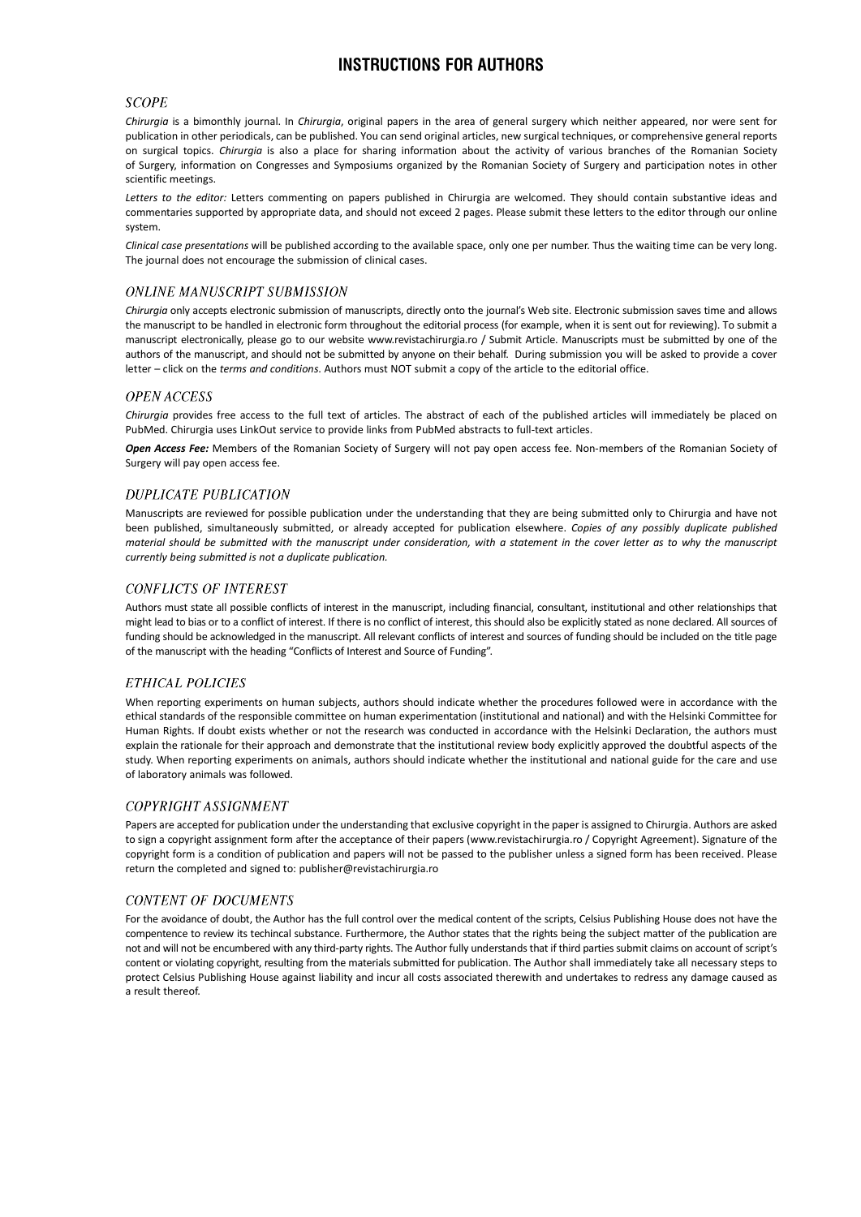# INSTRUCTIONS FOR AUTHORS

## **SCOPE**

Chirurgia is a bimonthly journal. In Chirurgia, original papers in the area of general surgery which neither appeared, nor were sent for publication in other periodicals, can be published. You can send original articles, new surgical techniques, or comprehensive general reports on surgical topics. Chirurgia is also a place for sharing information about the activity of various branches of the Romanian Society of Surgery, information on Congresses and Symposiums organized by the Romanian Society of Surgery and participation notes in other scientific meetings.

Letters to the editor: Letters commenting on papers published in Chirurgia are welcomed. They should contain substantive ideas and commentaries supported by appropriate data, and should not exceed 2 pages. Please submit these letters to the editor through our online system.

Clinical case presentations will be published according to the available space, only one per number. Thus the waiting time can be very long. The journal does not encourage the submission of clinical cases.

## **ONLINE MANUSCRIPT SUBMISSION**

Chirurgia only accepts electronic submission of manuscripts, directly onto the journal's Web site. Electronic submission saves time and allows the manuscript to be handled in electronic form throughout the editorial process (for example, when it is sent out for reviewing). To submit a manuscript electronically, please go to our website www.revistachirurgia.ro / Submit Article. Manuscripts must be submitted by one of the authors of the manuscript, and should not be submitted by anyone on their behalf. During submission you will be asked to provide a cover letter - click on the terms and conditions. Authors must NOT submit a copy of the article to the editorial office.

## **OPEN ACCESS**

Chirurgia provides free access to the full text of articles. The abstract of each of the published articles will immediately be placed on PubMed. Chirurgia uses LinkOut service to provide links from PubMed abstracts to full-text articles.

Open Access Fee: Members of the Romanian Society of Surgery will not pay open access fee. Non-members of the Romanian Society of Surgery will pay open access fee.

### **DUPLICATE PUBLICATION**

Manuscripts are reviewed for possible publication under the understanding that they are being submitted only to Chirurgia and have not been published, simultaneously submitted, or already accepted for publication elsewhere. Copies of any possibly duplicate published material should be submitted with the manuscript under consideration, with a statement in the cover letter as to why the manuscript currently being submitted is not a duplicate publication.

## **CONFLICTS OF INTEREST**

Authors must state all possible conflicts of interest in the manuscript, including financial, consultant, institutional and other relationships that might lead to bias or to a conflict of interest. If there is no conflict of interest, this should also be explicitly stated as none declared. All sources of funding should be acknowledged in the manuscript. All relevant conflicts of interest and sources of funding should be included on the title page of the manuscript with the heading "Conflicts of Interest and Source of Funding".

### ETHICAL POLICIES

When reporting experiments on human subjects, authors should indicate whether the procedures followed were in accordance with the ethical standards of the responsible committee on human experimentation (institutional and national) and with the Helsinki Committee for Human Rights. If doubt exists whether or not the research was conducted in accordance with the Helsinki Declaration, the authors must explain the rationale for their approach and demonstrate that the institutional review body explicitly approved the doubtful aspects of the study. When reporting experiments on animals, authors should indicate whether the institutional and national guide for the care and use of laboratory animals was followed.

## COPYRIGHT ASSIGNMENT

Papers are accepted for publication under the understanding that exclusive copyright in the paper is assigned to Chirurgia. Authors are asked to sign a copyright assignment form after the acceptance of their papers (www.revistachirurgia.ro / Copyright Agreement). Signature of the copyright form is a condition of publication and papers will not be passed to the publisher unless a signed form has been received. Please return the completed and signed to: publisher@revistachirurgia.ro

## **CONTENT OF DOCUMENTS**

For the avoidance of doubt, the Author has the full control over the medical content of the scripts, Celsius Publishing House does not have the compentence to review its techincal substance. Furthermore, the Author states that the rights being the subject matter of the publication are not and will not be encumbered with any third-party rights. The Author fully understands that if third parties submit claims on account of script's content or violating copyright, resulting from the materials submitted for publication. The Author shall immediately take all necessary steps to protect Celsius Publishing House against liability and incur all costs associated therewith and undertakes to redress any damage caused as a result thereof.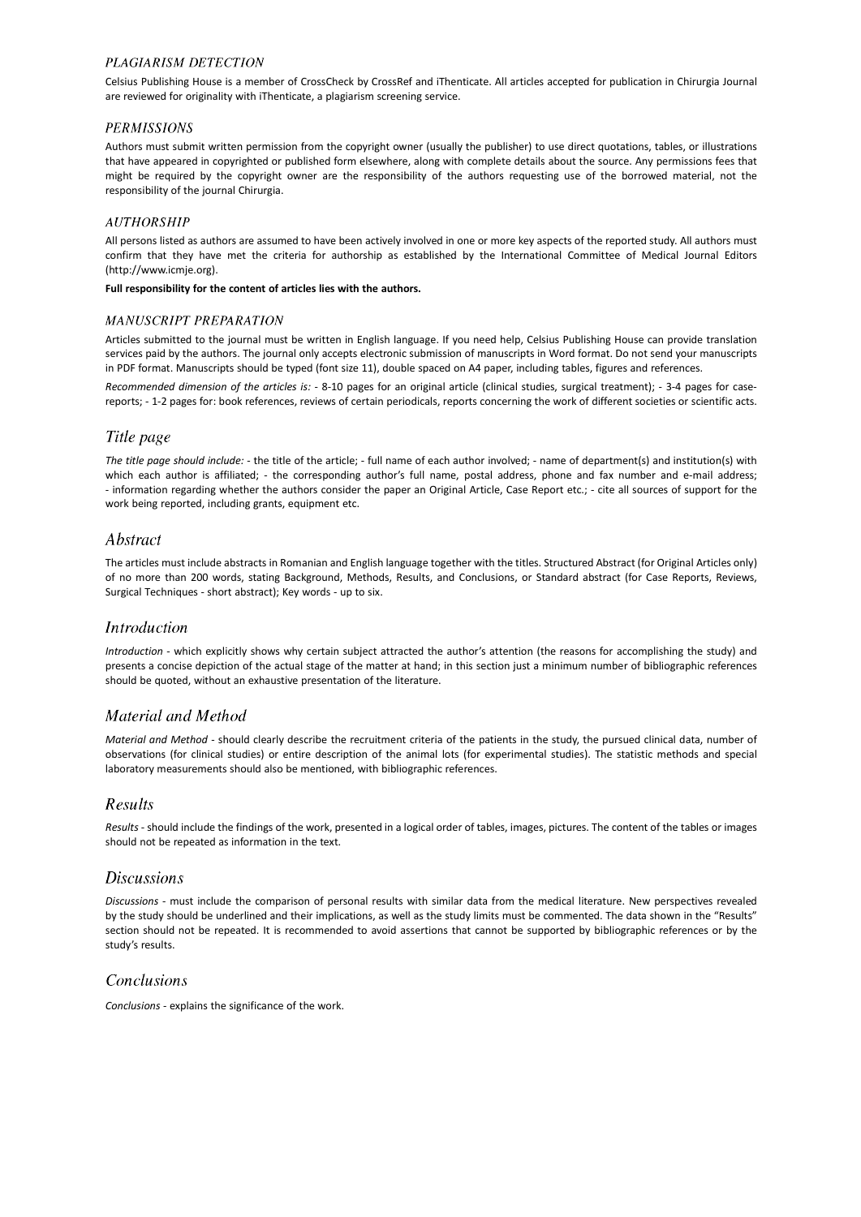## **PLAGIARISM DETECTION**

Celsius Publishing House is a member of CrossCheck by CrossRef and iThenticate. All articles accepted for publication in Chirurgia Journal are reviewed for originality with iThenticate, a plagiarism screening service.

## **PERMISSIONS**

Authors must submit written permission from the copyright owner (usually the publisher) to use direct quotations, tables, or illustrations that have appeared in copyrighted or published form elsewhere, along with complete details about the source. Any permissions fees that might be required by the copyright owner are the responsibility of the authors requesting use of the borrowed material, not the responsibility of the journal Chirurgia.

## **AUTHORSHIP**

All persons listed as authors are assumed to have been actively involved in one or more key aspects of the reported study. All authors must confirm that they have met the criteria for authorship as established by the International Committee of Medical Journal Editors (http://www.icmje.org).

Full responsibility for the content of articles lies with the authors.

### **MANUSCRIPT PREPARATION**

Articles submitted to the journal must be written in English language. If you need help, Celsius Publishing House can provide translation services paid by the authors. The journal only accepts electronic submission of manuscripts in Word format. Do not send your manuscripts in PDF format. Manuscripts should be typed (font size 11), double spaced on A4 paper, including tables, figures and references.

Recommended dimension of the articles is: - 8-10 pages for an original article (clinical studies, surgical treatment); - 3-4 pages for casereports; - 1-2 pages for: book references, reviews of certain periodicals, reports concerning the work of different societies or scientific acts.

## Title page

The title page should include: - the title of the article; - full name of each author involved; - name of department(s) and institution(s) with which each author is affiliated; - the corresponding author's full name, postal address, phone and fax number and e-mail address; - information regarding whether the authors consider the paper an Original Article, Case Report etc.; - cite all sources of support for the work being reported, including grants, equipment etc.

## Abstract

The articles must include abstracts in Romanian and English language together with the titles. Structured Abstract (for Original Articles only) of no more than 200 words, stating Background, Methods, Results, and Conclusions, or Standard abstract (for Case Reports, Reviews, Surgical Techniques - short abstract); Key words - up to six.

## **Introduction**

Introduction - which explicitly shows why certain subject attracted the author's attention (the reasons for accomplishing the study) and presents a concise depiction of the actual stage of the matter at hand; in this section just a minimum number of bibliographic references should be quoted, without an exhaustive presentation of the literature.

# Material and Method

Material and Method - should clearly describe the recruitment criteria of the patients in the study, the pursued clinical data, number of observations (for clinical studies) or entire description of the animal lots (for experimental studies). The statistic methods and special laboratory measurements should also be mentioned, with bibliographic references.

# $Reults$

Results - should include the findings of the work, presented in a logical order of tables, images, pictures. The content of the tables or images should not be repeated as information in the text.

## **Discussions**

Discussions - must include the comparison of personal results with similar data from the medical literature. New perspectives revealed by the study should be underlined and their implications, as well as the study limits must be commented. The data shown in the "Results" section should not be repeated. It is recommended to avoid assertions that cannot be supported by bibliographic references or by the study's results.

# Conclusions

Conclusions - explains the significance of the work.